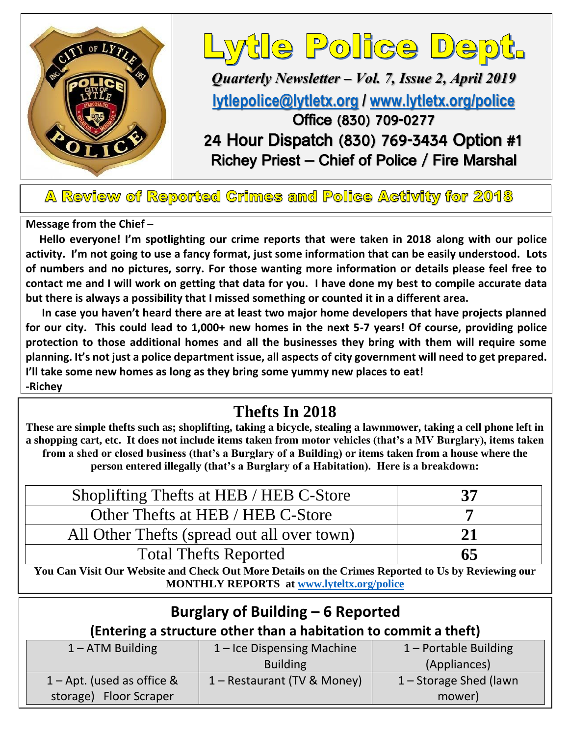

# ytle Police Dept.

*Quarterly Newsletter – Vol. 7, Issue 2, April 2019* **[lytlepolice@lytletx.org](mailto:lytlepolice@lytletx.org) / [www.lytletx.org/police](http://www.lytletx.org/police)** Office (830) 709-0277 24 Hour Dispatch (830) 769-3434 Option #1 Richey Priest – Chief of Police / Fire Marshal

A Review of Reported Crimes and Police Activity for 2018

**Message from the Chief** –

 **Hello everyone! I'm spotlighting our crime reports that were taken in 2018 along with our police activity. I'm not going to use a fancy format, just some information that can be easily understood. Lots of numbers and no pictures, sorry. For those wanting more information or details please feel free to contact me and I will work on getting that data for you. I have done my best to compile accurate data but there is always a possibility that I missed something or counted it in a different area.** 

 **In case you haven't heard there are at least two major home developers that have projects planned for our city. This could lead to 1,000+ new homes in the next 5-7 years! Of course, providing police protection to those additional homes and all the businesses they bring with them will require some planning. It's not just a police department issue, all aspects of city government will need to get prepared. I'll take some new homes as long as they bring some yummy new places to eat! -Richey**

## **Thefts In 2018**

**These are simple thefts such as; shoplifting, taking a bicycle, stealing a lawnmower, taking a cell phone left in a shopping cart, etc. It does not include items taken from motor vehicles (that's a MV Burglary), items taken from a shed or closed business (that's a Burglary of a Building) or items taken from a house where the person entered illegally (that's a Burglary of a Habitation). Here is a breakdown:**

| Shoplifting Thefts at HEB / HEB C-Store                                                            | 37 |  |
|----------------------------------------------------------------------------------------------------|----|--|
| Other Thefts at HEB / HEB C-Store                                                                  |    |  |
| All Other Thefts (spread out all over town)                                                        | 21 |  |
| <b>Total Thefts Reported</b>                                                                       | 65 |  |
| You Can Visit Our Website and Check Out More Details on the Crimes Reported to Us by Reviewing our |    |  |

**MONTHLY REPORTS at [www.lyteltx.org/police](http://www.lyteltx.org/police)**

| Burglary of Building – 6 Reported<br>(Entering a structure other than a habitation to commit a theft) |                             |                        |  |  |
|-------------------------------------------------------------------------------------------------------|-----------------------------|------------------------|--|--|
| $1 - ATM$ Building                                                                                    | 1 - Ice Dispensing Machine  | 1 - Portable Building  |  |  |
|                                                                                                       | <b>Building</b>             | (Appliances)           |  |  |
| $1 -$ Apt. (used as office &                                                                          | 1 - Restaurant (TV & Money) | 1 - Storage Shed (lawn |  |  |
| storage) Floor Scraper                                                                                |                             | mower)                 |  |  |